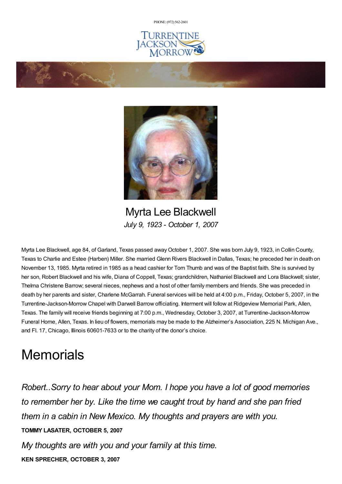PHONE: (972) [562-2601](tel:(972) 562-2601)







Myrta Lee Blackwell *July 9, 1923 - October 1, 2007*

Myrta Lee Blackwell, age 84, of Garland, Texas passed awayOctober 1, 2007. She was born July 9, 1923, in Collin County, Texas to Charlie and Estee (Harben) Miller. She married Glenn Rivers Blackwell in Dallas, Texas; he preceded her in death on November 13, 1985. Myrta retired in 1985 as a head cashier for Tom Thumb and was of the Baptist faith. She is survived by her son, Robert Blackwell and his wife, Diana of Coppell, Texas; grandchildren, Nathaniel Blackwell and Lora Blackwell; sister, Thelma Christene Barrow; several nieces, nephews and a host of other family members and friends. She was preceded in death by her parents and sister, Charlene McGarrah. Funeral services will be held at 4:00 p.m., Friday, October 5, 2007, in the Turrentine-Jackson-Morrow Chapel with Darwell Barrow officiating. Interment will follow at Ridgeview Memorial Park, Allen, Texas. The family will receive friends beginning at 7:00 p.m., Wednesday, October 3, 2007, at Turrentine-Jackson-Morrow Funeral Home, Allen, Texas. In lieu of flowers, memorials may be made to the Alzheimer's Association, 225 N. Michigan Ave., and Fl. 17, Chicago, Illinois 60601-7633 or to the charity of the donor's choice.

## **Memorials**

*Robert..Sorry to hear about your Mom. I hope you have a lot of good memories to remember her by. Like the time we caught trout by hand and she pan fried them in a cabin in New Mexico. My thoughts and prayers are with you.* **TOMMY LASATER, OCTOBER 5, 2007**

*My thoughts are with you and your family at this time.* **KEN SPRECHER, OCTOBER 3, 2007**